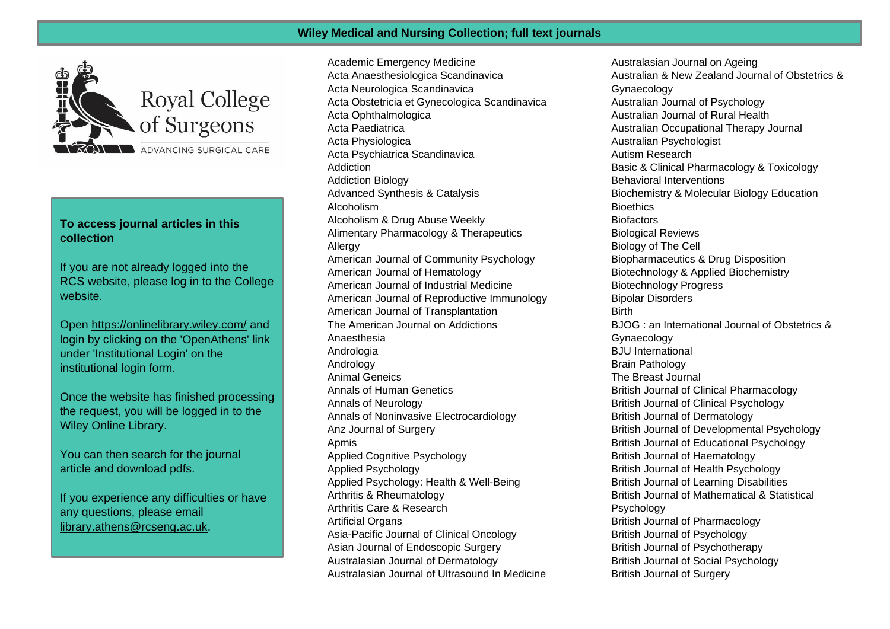## **Wiley Medical and Nursing Collection; full text journals**



## **To access journal articles in this collection**

If you are not already logged into the RCS website, please log in to the College website.

Open<https://onlinelibrary.wiley.com/> and login by clicking on the 'OpenAthens' link under 'Institutional Login' on the institutional login form.

Once the website has finished processing the request, you will be logged in to the Wiley Online Library.

You can then search for the journal article and download pdfs.

If you experience any difficulties or have any questions, please email [library.athens@rcseng.ac.uk.](mailto:library.athens@rcseng.ac.uk)

Academic Emergency Medicine Acta Anaesthesiologica Scandinavica Acta Neurologica Scandinavica Acta Obstetricia et Gynecologica Scandinavica Acta Ophthalmologica Acta Paediatrica Acta Physiologica Acta Psychiatrica Scandinavica Addiction Addiction Biology Advanced Synthesis & Catalysis Alcoholism Alcoholism & Drug Abuse Weekly Alimentary Pharmacology & Therapeutics Allergy American Journal of Community Psychology American Journal of Hematology American Journal of Industrial Medicine American Journal of Reproductive Immunology American Journal of Transplantation The American Journal on Addictions Anaesthesia Andrologia **Andrology** Animal Geneics Annals of Human Genetics Annals of Neurology Annals of Noninvasive Electrocardiology Anz Journal of Surgery Apmis Applied Cognitive Psychology Applied Psychology Applied Psychology: Health & Well-Being Arthritis & Rheumatology Arthritis Care & Research Artificial Organs Asia-Pacific Journal of Clinical Oncology Asian Journal of Endoscopic Surgery Australasian Journal of Dermatology Australasian Journal of Ultrasound In Medicine

Australasian Journal on Ageing Australian & New Zealand Journal of Obstetrics & Gynaecology Australian Journal of Psychology Australian Journal of Rural Health Australian Occupational Therapy Journal Australian Psychologist Autism Research Basic & Clinical Pharmacology & Toxicology Behavioral Interventions Biochemistry & Molecular Biology Education **Bioethics Biofactors** Biological Reviews Biology of The Cell Biopharmaceutics & Drug Disposition Biotechnology & Applied Biochemistry Biotechnology Progress Bipolar Disorders **Birth** BJOG : an International Journal of Obstetrics & **Gynaecology** BJU International Brain Pathology The Breast Journal British Journal of Clinical Pharmacology British Journal of Clinical Psychology British Journal of Dermatology British Journal of Developmental Psychology British Journal of Educational Psychology British Journal of Haematology British Journal of Health Psychology British Journal of Learning Disabilities British Journal of Mathematical & Statistical **Psychology** British Journal of Pharmacology British Journal of Psychology British Journal of Psychotherapy British Journal of Social Psychology British Journal of Surgery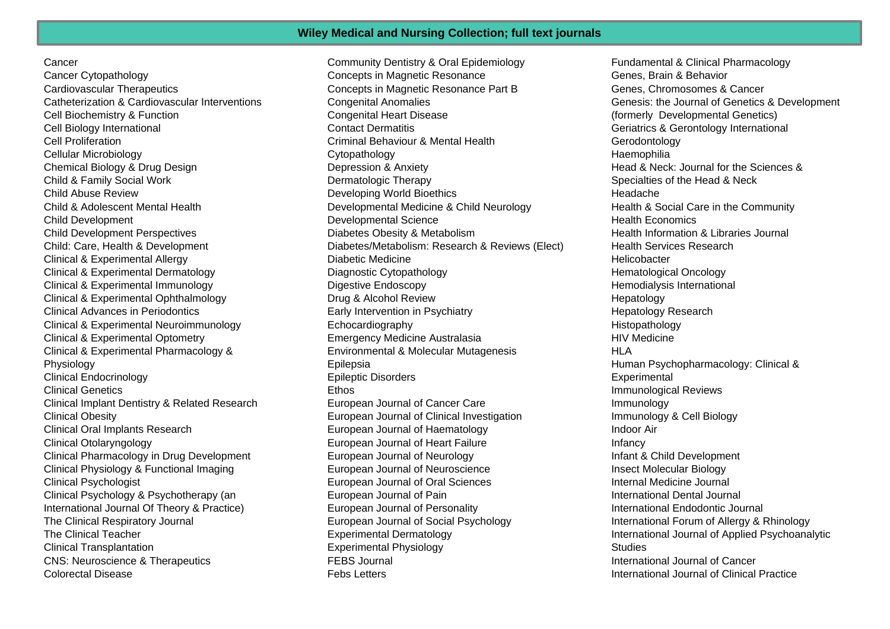**Cancer** 

Cancer Cytopathology Cardiovascular Therapeutics Catheterization & Cardiovascular Interventions Cell Biochemistry & Function Cell Biology International Cell Proliferation Cellular Microbiology Chemical Biology & Drug Design Child & Family Social Work Child Abuse Review Child & Adolescent Mental Health Child Development Child Development Perspectives Child: Care, Health & Development Clinical & Experimental Allergy Clinical & Experimental Dermatology Clinical & Experimental Immunology Clinical & Experimental Ophthalmology Clinical Advances in Periodontics Clinical & Experimental Neuroimmunology Clinical & Experimental Optometry Clinical & Experimental Pharmacology & **Physiology** Clinical Endocrinology Clinical Genetics Clinical Implant Dentistry & Related Research Clinical Obesity Clinical Oral Implants Research Clinical Otolaryngology Clinical Pharmacology in Drug Development Clinical Physiology & Functional Imaging Clinical Psychologist Clinical Psychology & Psychotherapy (an International Journal Of Theory & Practice) The Clinical Respiratory Journal The Clinical Teacher Clinical Transplantation CNS: Neuroscience & Therapeutics Colorectal Disease

Community Dentistry & Oral Epidemiology Concepts in Magnetic Resonance Concepts in Magnetic Resonance Part B Congenital Anomalies Congenital Heart Disease Contact Dermatitis Criminal Behaviour & Mental Health Cytopathology Depression & Anxiety Dermatologic Therapy Developing World Bioethics Developmental Medicine & Child Neurology Developmental Science Diabetes Obesity & Metabolism Diabetes/Metabolism: Research & Reviews (Elect) Diabetic Medicine Diagnostic Cytopathology Digestive Endoscopy Drug & Alcohol Review Early Intervention in Psychiatry Echocardiography Emergency Medicine Australasia Environmental & Molecular Mutagenesis Epilepsia Epileptic Disorders **Ethos** European Journal of Cancer Care European Journal of Clinical Investigation European Journal of Haematology European Journal of Heart Failure European Journal of Neurology European Journal of Neuroscience European Journal of Oral Sciences European Journal of Pain European Journal of Personality European Journal of Social Psychology Experimental Dermatology Experimental Physiology FEBS Journal Febs Letters

Fundamental & Clinical Pharmacology Genes, Brain & Behavior Genes, Chromosomes & Cancer Genesis: the Journal of Genetics & Development (formerly Developmental Genetics) Geriatrics & Gerontology International **Gerodontology Haemophilia** Head & Neck: Journal for the Sciences & Specialties of the Head & Neck Headache Health & Social Care in the Community Health Economics Health Information & Libraries Journal Health Services Research **Helicobacter** Hematological Oncology Hemodialysis International **Hepatology** Hepatology Research Histopathology HIV Medicine HI A Human Psychopharmacology: Clinical & **Experimental** Immunological Reviews Immunology Immunology & Cell Biology Indoor Air **Infancy** Infant & Child Development Insect Molecular Biology Internal Medicine Journal International Dental Journal International Endodontic Journal International Forum of Allergy & Rhinology International Journal of Applied Psychoanalytic **Studies** International Journal of Cancer International Journal of Clinical Practice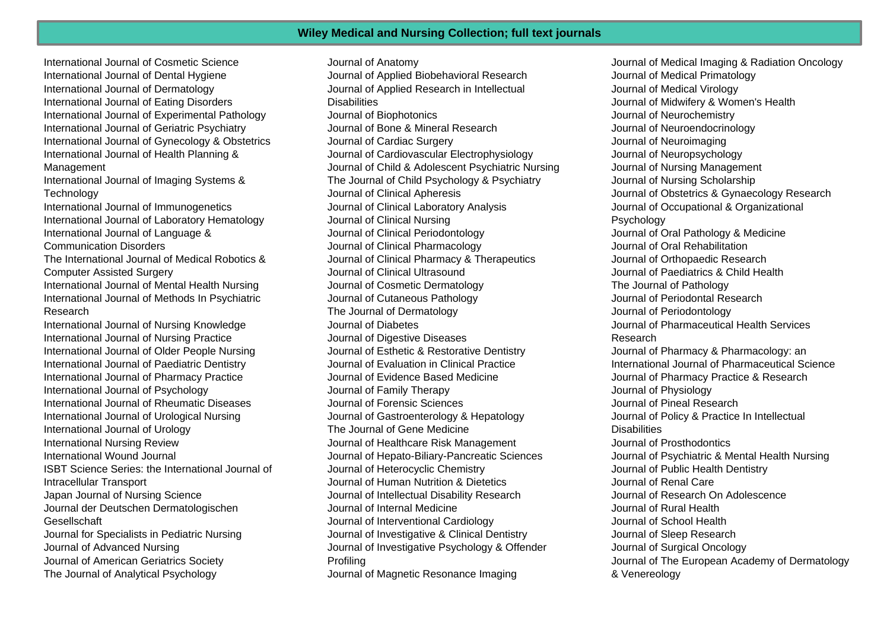International Journal of Cosmetic Science International Journal of Dental Hygiene International Journal of Dermatology International Journal of Eating Disorders International Journal of Experimental Pathology International Journal of Geriatric Psychiatry International Journal of Gynecology & Obstetrics International Journal of Health Planning & Management International Journal of Imaging Systems & **Technology** International Journal of Immunogenetics International Journal of Laboratory Hematology International Journal of Language & Communication Disorders The International Journal of Medical Robotics & Computer Assisted Surgery International Journal of Mental Health Nursing International Journal of Methods In Psychiatric Research International Journal of Nursing Knowledge International Journal of Nursing Practice International Journal of Older People Nursing International Journal of Paediatric Dentistry International Journal of Pharmacy Practice International Journal of Psychology International Journal of Rheumatic Diseases International Journal of Urological Nursing International Journal of Urology International Nursing Review International Wound Journal ISBT Science Series: the International Journal of Intracellular Transport Japan Journal of Nursing Science Journal der Deutschen Dermatologischen Gesellschaft Journal for Specialists in Pediatric Nursing Journal of Advanced Nursing Journal of American Geriatrics Society The Journal of Analytical Psychology

Journal of Anatomy Journal of Applied Biobehavioral Research Journal of Applied Research in Intellectual **Disabilities** Journal of Biophotonics Journal of Bone & Mineral Research Journal of Cardiac Surgery Journal of Cardiovascular Electrophysiology Journal of Child & Adolescent Psychiatric Nursing The Journal of Child Psychology & Psychiatry Journal of Clinical Apheresis Journal of Clinical Laboratory Analysis Journal of Clinical Nursing Journal of Clinical Periodontology Journal of Clinical Pharmacology Journal of Clinical Pharmacy & Therapeutics Journal of Clinical Ultrasound Journal of Cosmetic Dermatology Journal of Cutaneous Pathology The Journal of Dermatology Journal of Diabetes Journal of Digestive Diseases Journal of Esthetic & Restorative Dentistry Journal of Evaluation in Clinical Practice Journal of Evidence Based Medicine Journal of Family Therapy Journal of Forensic Sciences Journal of Gastroenterology & Hepatology The Journal of Gene Medicine Journal of Healthcare Risk Management Journal of Hepato-Biliary-Pancreatic Sciences Journal of Heterocyclic Chemistry Journal of Human Nutrition & Dietetics Journal of Intellectual Disability Research Journal of Internal Medicine Journal of Interventional Cardiology Journal of Investigative & Clinical Dentistry Journal of Investigative Psychology & Offender Profiling Journal of Magnetic Resonance Imaging

Journal of Medical Imaging & Radiation Oncology Journal of Medical Primatology Journal of Medical Virology Journal of Midwifery & Women's Health Journal of Neurochemistry Journal of Neuroendocrinology Journal of Neuroimaging Journal of Neuropsychology Journal of Nursing Management Journal of Nursing Scholarship Journal of Obstetrics & Gynaecology Research Journal of Occupational & Organizational **Psychology** Journal of Oral Pathology & Medicine Journal of Oral Rehabilitation Journal of Orthopaedic Research Journal of Paediatrics & Child Health The Journal of Pathology Journal of Periodontal Research Journal of Periodontology Journal of Pharmaceutical Health Services Research Journal of Pharmacy & Pharmacology: an International Journal of Pharmaceutical Science Journal of Pharmacy Practice & Research Journal of Physiology Journal of Pineal Research Journal of Policy & Practice In Intellectual **Disabilities** Journal of Prosthodontics Journal of Psychiatric & Mental Health Nursing Journal of Public Health Dentistry Journal of Renal Care Journal of Research On Adolescence Journal of Rural Health Journal of School Health Journal of Sleep Research Journal of Surgical Oncology Journal of The European Academy of Dermatology & Venereology